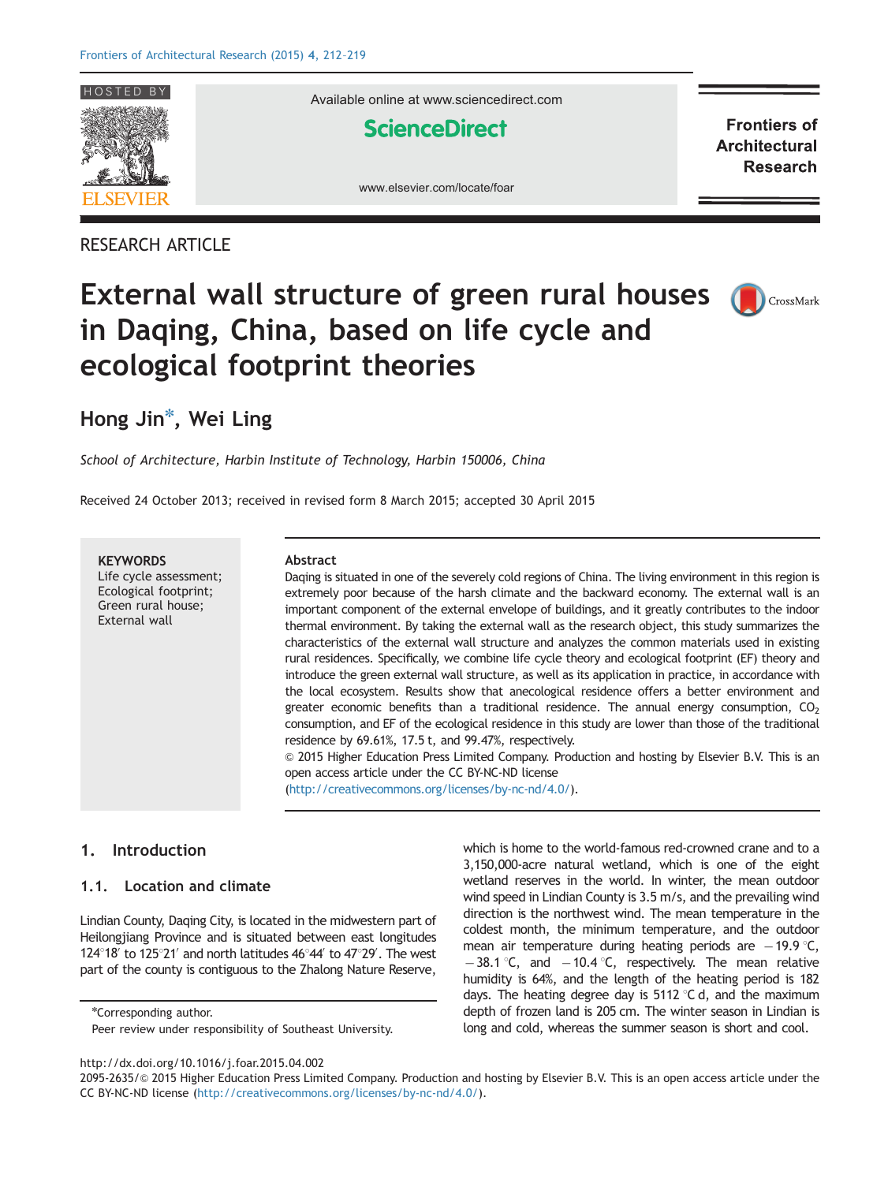

RESEARCH ARTICLE

Available online at www.sciencedirect.com

**ScienceDirect** 

**Frontiers of Architectural Research** 



# External wall structure of green rural houses in Daqing, China, based on life cycle and ecological footprint theories



### Hong Jin<sup>\*</sup>, Wei Ling

School of Architecture, Harbin Institute of Technology, Harbin 150006, China

Received 24 October 2013; received in revised form 8 March 2015; accepted 30 April 2015

**KEYWORDS** Life cycle assessment; Ecological footprint; Green rural house;

External wall

#### Abstract

Daqing is situated in one of the severely cold regions of China. The living environment in this region is extremely poor because of the harsh climate and the backward economy. The external wall is an important component of the external envelope of buildings, and it greatly contributes to the indoor thermal environment. By taking the external wall as the research object, this study summarizes the characteristics of the external wall structure and analyzes the common materials used in existing rural residences. Specifically, we combine life cycle theory and ecological footprint (EF) theory and introduce the green external wall structure, as well as its application in practice, in accordance with the local ecosystem. Results show that anecological residence offers a better environment and greater economic benefits than a traditional residence. The annual energy consumption,  $CO<sub>2</sub>$ consumption, and EF of the ecological residence in this study are lower than those of the traditional residence by 69.61%, 17.5 t, and 99.47%, respectively.

& 2015 Higher Education Press Limited Company. Production and hosting by Elsevier B.V. This is an open access article under the CC BY-NC-ND license

(http://creativecommons.org/licenses/by-nc-nd/4.0/).

#### 1. Introduction

#### 1.1. Location and climate

Lindian County, Daqing City, is located in the midwestern part of Heilongjiang Province and is situated between east longitudes 124 $\degree$ 18' to 125 $\degree$ 21' and north latitudes 46 $\degree$ 44' to 47 $\degree$ 29'. The west part of the county is contiguous to the Zhalong Nature Reserve,

\*Corresponding author.

which is home to the world-famous red-crowned crane and to a 3,150,000-acre natural wetland, which is one of the eight wetland reserves in the world. In winter, the mean outdoor wind speed in Lindian County is 3.5 m/s, and the prevailing wind direction is the northwest wind. The mean temperature in the coldest month, the minimum temperature, and the outdoor mean air temperature during heating periods are  $-19.9$  °C,  $-38.1$  °C, and  $-10.4$  °C, respectively. The mean relative humidity is 64%, and the length of the heating period is 182 days. The heating degree day is  $5112 \degree C$  d, and the maximum depth of frozen land is 205 cm. The winter season in Lindian is long and cold, whereas the summer season is short and cool.

Peer review under responsibility of Southeast University.

[http://dx.doi.org/10.1016/j.foar.2015.04.002](dx.doi.org/10.1016/j.foar.2015.04.002)

<sup>2095-2635/@</sup> [2015 Higher Education Press Limited Company. Production and hosting by Elsevier B.V. This is an open access article under the](dx.doi.org/10.1016/j.foar.2015.04.002) [CC BY-NC-ND license \(http://creativecommons.org/licenses/by-nc-nd/4.0/\).](dx.doi.org/10.1016/j.foar.2015.04.002)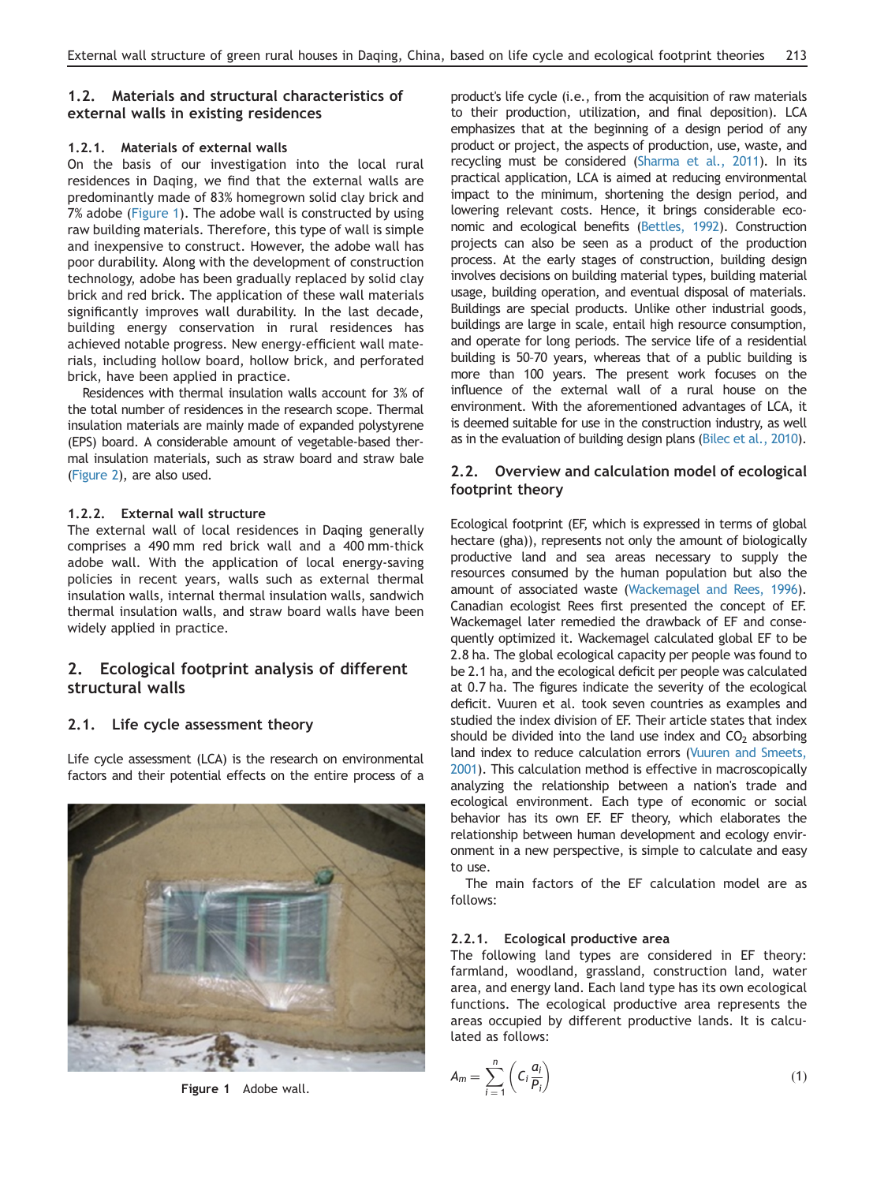#### 1.2. Materials and structural characteristics of external walls in existing residences

#### 1.2.1. Materials of external walls

On the basis of our investigation into the local rural residences in Daqing, we find that the external walls are predominantly made of 83% homegrown solid clay brick and 7% adobe (Figure 1). The adobe wall is constructed by using raw building materials. Therefore, this type of wall is simple and inexpensive to construct. However, the adobe wall has poor durability. Along with the development of construction technology, adobe has been gradually replaced by solid clay brick and red brick. The application of these wall materials significantly improves wall durability. In the last decade, building energy conservation in rural residences has achieved notable progress. New energy-efficient wall materials, including hollow board, hollow brick, and perforated brick, have been applied in practice.

Residences with thermal insulation walls account for 3% of the total number of residences in the research scope. Thermal insulation materials are mainly made of expanded polystyrene (EPS) board. A considerable amount of vegetable-based thermal insulation materials, such as straw board and straw bale (Figure 2), are also used.

#### 1.2.2. External wall structure

The external wall of local residences in Daqing generally comprises a 490 mm red brick wall and a 400 mm-thick adobe wall. With the application of local energy-saving policies in recent years, walls such as external thermal insulation walls, internal thermal insulation walls, sandwich thermal insulation walls, and straw board walls have been widely applied in practice.

### 2. Ecological footprint analysis of different structural walls

#### 2.1. Life cycle assessment theory

Life cycle assessment (LCA) is the research on environmental factors and their potential effects on the entire process of a



Figure 1 Adobe wall.

product's life cycle (i.e., from the acquisition of raw materials to their production, utilization, and final deposition). LCA emphasizes that at the beginning of a design period of any product or project, the aspects of production, use, waste, and recycling must be considered (Sharma et al., 2011). In its practical application, LCA is aimed at reducing environmental impact to the minimum, shortening the design period, and lowering relevant costs. Hence, it brings considerable economic and ecological benefits (Bettles, 1992). Construction projects can also be seen as a product of the production process. At the early stages of construction, building design involves decisions on building material types, building material usage, building operation, and eventual disposal of materials. Buildings are special products. Unlike other industrial goods, buildings are large in scale, entail high resource consumption, and operate for long periods. The service life of a residential building is 50–70 years, whereas that of a public building is more than 100 years. The present work focuses on the influence of the external wall of a rural house on the environment. With the aforementioned advantages of LCA, it is deemed suitable for use in the construction industry, as well as in the evaluation of building design plans (Bilec et al., 2010).

#### 2.2. Overview and calculation model of ecological footprint theory

Ecological footprint (EF, which is expressed in terms of global hectare (gha)), represents not only the amount of biologically productive land and sea areas necessary to supply the resources consumed by the human population but also the amount of associated waste (Wackemagel and Rees, 1996). Canadian ecologist Rees first presented the concept of EF. Wackemagel later remedied the drawback of EF and consequently optimized it. Wackemagel calculated global EF to be 2.8 ha. The global ecological capacity per people was found to be 2.1 ha, and the ecological deficit per people was calculated at 0.7 ha. The figures indicate the severity of the ecological deficit. Vuuren et al. took seven countries as examples and studied the index division of EF. Their article states that index should be divided into the land use index and  $CO<sub>2</sub>$  absorbing land index to reduce calculation errors (Vuuren and Smeets, 2001). This calculation method is effective in macroscopically analyzing the relationship between a nation's trade and ecological environment. Each type of economic or social behavior has its own EF. EF theory, which elaborates the relationship between human development and ecology environment in a new perspective, is simple to calculate and easy to use.

The main factors of the EF calculation model are as follows:

#### 2.2.1. Ecological productive area

The following land types are considered in EF theory: farmland, woodland, grassland, construction land, water area, and energy land. Each land type has its own ecological functions. The ecological productive area represents the areas occupied by different productive lands. It is calculated as follows:

$$
A_m = \sum_{i=1}^n \left( C_i \frac{a_i}{P_i} \right) \tag{1}
$$